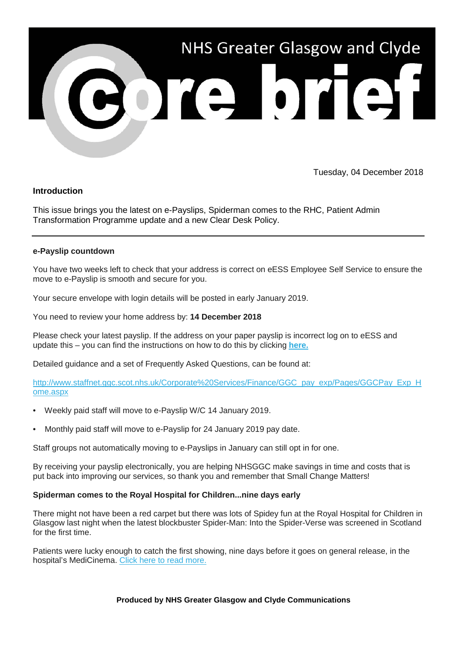

Tuesday, 04 December 2018

## **Introduction**

This issue brings you the latest on e-Payslips, Spiderman comes to the RHC, Patient Admin Transformation Programme update and a new Clear Desk Policy.

### **e-Payslip countdown**

You have two weeks left to check that your address is correct on eESS Employee Self Service to ensure the move to e-Payslip is smooth and secure for you.

Your secure envelope with login details will be posted in early January 2019.

You need to review your home address by: **14 December 2018**

Please check your latest payslip. If the address on your paper payslip is incorrect log on to eESS and update this – you can find the instructions on how to do this by clicking **[here.](https://nhsggc.us12.list-manage.com/track/click?u=0f385b5aea37eaf0213bd19fb&id=9592516a74&e=5af5e1832c)**

Detailed guidance and a set of Frequently Asked Questions, can be found at:

[http://www.staffnet.ggc.scot.nhs.uk/Corporate%20Services/Finance/GGC\\_pay\\_exp/Pages/GGCPay\\_Exp\\_H](https://nhsggc.us12.list-manage.com/track/click?u=0f385b5aea37eaf0213bd19fb&id=8dbf1e3cca&e=5af5e1832c) [ome.aspx](https://nhsggc.us12.list-manage.com/track/click?u=0f385b5aea37eaf0213bd19fb&id=8dbf1e3cca&e=5af5e1832c)

- Weekly paid staff will move to e-Payslip W/C 14 January 2019.
- Monthly paid staff will move to e-Payslip for 24 January 2019 pay date.

Staff groups not automatically moving to e-Payslips in January can still opt in for one.

By receiving your payslip electronically, you are helping NHSGGC make savings in time and costs that is put back into improving our services, so thank you and remember that Small Change Matters!

### **Spiderman comes to the Royal Hospital for Children...nine days early**

There might not have been a red carpet but there was lots of Spidey fun at the Royal Hospital for Children in Glasgow last night when the latest blockbuster Spider-Man: Into the Spider-Verse was screened in Scotland for the first time.

Patients were lucky enough to catch the first showing, nine days before it goes on general release, in the hospital's MediCinema. [Click here to read more.](https://nhsggc.us12.list-manage.com/track/click?u=0f385b5aea37eaf0213bd19fb&id=ada88ac4d9&e=5af5e1832c)

**Produced by NHS Greater Glasgow and Clyde Communications**